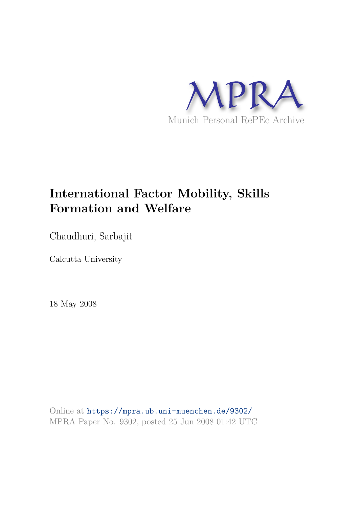

# **International Factor Mobility, Skills Formation and Welfare**

Chaudhuri, Sarbajit

Calcutta University

18 May 2008

Online at https://mpra.ub.uni-muenchen.de/9302/ MPRA Paper No. 9302, posted 25 Jun 2008 01:42 UTC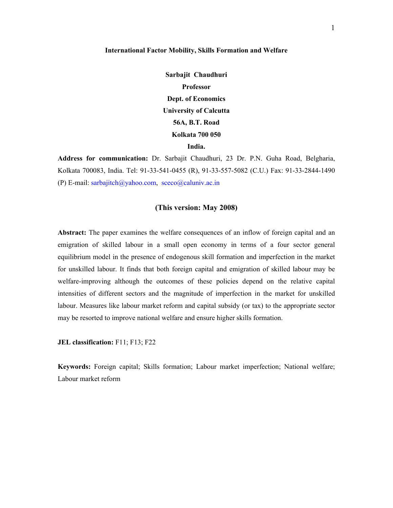#### **International Factor Mobility, Skills Formation and Welfare**

**Sarbajit Chaudhuri Professor Dept. of Economics University of Calcutta 56A, B.T. Road Kolkata 700 050 India.** 

**Address for communication:** Dr. Sarbajit Chaudhuri, 23 Dr. P.N. Guha Road, Belgharia, Kolkata 700083, India. Tel: 91-33-541-0455 (R), 91-33-557-5082 (C.U.) Fax: 91-33-2844-1490 (P) E-mail: sarbajitch@yahoo.com, sceco@caluniv.ac.in

# **(This version: May 2008)**

**Abstract:** The paper examines the welfare consequences of an inflow of foreign capital and an emigration of skilled labour in a small open economy in terms of a four sector general equilibrium model in the presence of endogenous skill formation and imperfection in the market for unskilled labour. It finds that both foreign capital and emigration of skilled labour may be welfare-improving although the outcomes of these policies depend on the relative capital intensities of different sectors and the magnitude of imperfection in the market for unskilled labour. Measures like labour market reform and capital subsidy (or tax) to the appropriate sector may be resorted to improve national welfare and ensure higher skills formation.

**JEL classification:** F11; F13; F22

**Keywords:** Foreign capital; Skills formation; Labour market imperfection; National welfare; Labour market reform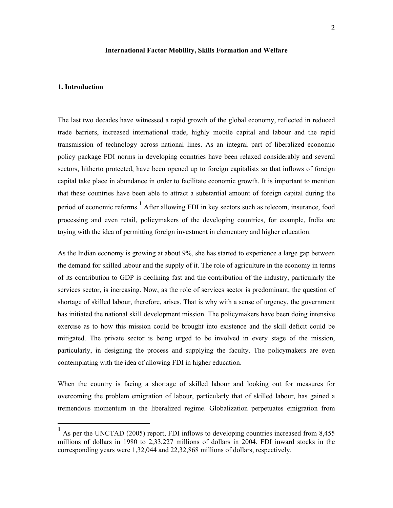#### **International Factor Mobility, Skills Formation and Welfare**

# **1. Introduction**

-

The last two decades have witnessed a rapid growth of the global economy, reflected in reduced trade barriers, increased international trade, highly mobile capital and labour and the rapid transmission of technology across national lines. As an integral part of liberalized economic policy package FDI norms in developing countries have been relaxed considerably and several sectors, hitherto protected, have been opened up to foreign capitalists so that inflows of foreign capital take place in abundance in order to facilitate economic growth. It is important to mention that these countries have been able to attract a substantial amount of foreign capital during the period of economic reforms.**<sup>1</sup>** After allowing FDI in key sectors such as telecom, insurance, food processing and even retail, policymakers of the developing countries, for example, India are toying with the idea of permitting foreign investment in elementary and higher education.

As the Indian economy is growing at about 9%, she has started to experience a large gap between the demand for skilled labour and the supply of it. The role of agriculture in the economy in terms of its contribution to GDP is declining fast and the contribution of the industry, particularly the services sector, is increasing. Now, as the role of services sector is predominant, the question of shortage of skilled labour, therefore, arises. That is why with a sense of urgency, the government has initiated the national skill development mission. The policymakers have been doing intensive exercise as to how this mission could be brought into existence and the skill deficit could be mitigated. The private sector is being urged to be involved in every stage of the mission, particularly, in designing the process and supplying the faculty. The policymakers are even contemplating with the idea of allowing FDI in higher education.

When the country is facing a shortage of skilled labour and looking out for measures for overcoming the problem emigration of labour, particularly that of skilled labour, has gained a tremendous momentum in the liberalized regime. Globalization perpetuates emigration from

<sup>&</sup>lt;sup>1</sup> As per the UNCTAD (2005) report, FDI inflows to developing countries increased from 8,455 millions of dollars in 1980 to 2,33,227 millions of dollars in 2004. FDI inward stocks in the corresponding years were 1,32,044 and 22,32,868 millions of dollars, respectively.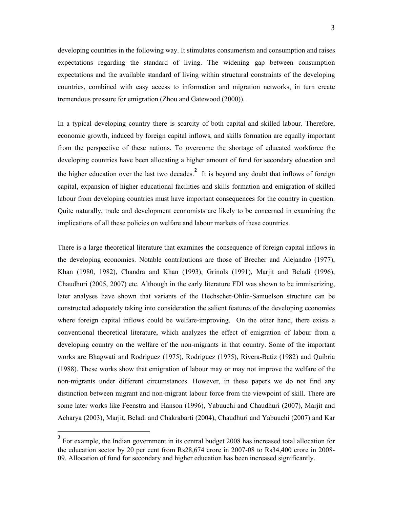developing countries in the following way. It stimulates consumerism and consumption and raises expectations regarding the standard of living. The widening gap between consumption expectations and the available standard of living within structural constraints of the developing countries, combined with easy access to information and migration networks, in turn create tremendous pressure for emigration (Zhou and Gatewood (2000)).

In a typical developing country there is scarcity of both capital and skilled labour. Therefore, economic growth, induced by foreign capital inflows, and skills formation are equally important from the perspective of these nations. To overcome the shortage of educated workforce the developing countries have been allocating a higher amount of fund for secondary education and the higher education over the last two decades.**<sup>2</sup>** It is beyond any doubt that inflows of foreign capital, expansion of higher educational facilities and skills formation and emigration of skilled labour from developing countries must have important consequences for the country in question. Quite naturally, trade and development economists are likely to be concerned in examining the implications of all these policies on welfare and labour markets of these countries.

There is a large theoretical literature that examines the consequence of foreign capital inflows in the developing economies. Notable contributions are those of Brecher and Alejandro (1977), Khan (1980, 1982), Chandra and Khan (1993), Grinols (1991), Marjit and Beladi (1996), Chaudhuri (2005, 2007) etc. Although in the early literature FDI was shown to be immiserizing, later analyses have shown that variants of the Hechscher-Ohlin-Samuelson structure can be constructed adequately taking into consideration the salient features of the developing economies where foreign capital inflows could be welfare-improving. On the other hand, there exists a conventional theoretical literature, which analyzes the effect of emigration of labour from a developing country on the welfare of the non-migrants in that country. Some of the important works are Bhagwati and Rodriguez (1975), Rodriguez (1975), Rivera-Batiz (1982) and Quibria (1988). These works show that emigration of labour may or may not improve the welfare of the non-migrants under different circumstances. However, in these papers we do not find any distinction between migrant and non-migrant labour force from the viewpoint of skill. There are some later works like Feenstra and Hanson (1996), Yabuuchi and Chaudhuri (2007), Marjit and Acharya (2003), Marjit, Beladi and Chakrabarti (2004), Chaudhuri and Yabuuchi (2007) and Kar

-

<sup>&</sup>lt;sup>2</sup> For example, the Indian government in its central budget 2008 has increased total allocation for the education sector by 20 per cent from Rs28,674 crore in 2007-08 to Rs34,400 crore in 2008- 09. Allocation of fund for secondary and higher education has been increased significantly.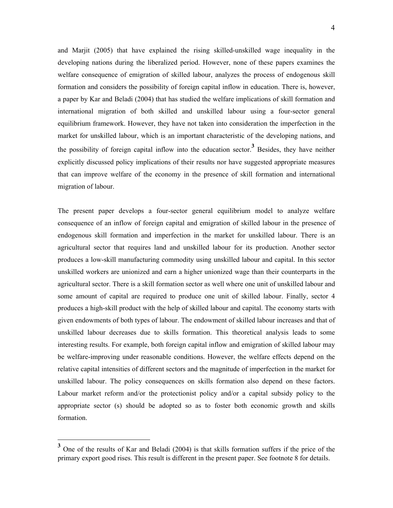and Marjit (2005) that have explained the rising skilled-unskilled wage inequality in the developing nations during the liberalized period. However, none of these papers examines the welfare consequence of emigration of skilled labour, analyzes the process of endogenous skill formation and considers the possibility of foreign capital inflow in education. There is, however, a paper by Kar and Beladi (2004) that has studied the welfare implications of skill formation and international migration of both skilled and unskilled labour using a four-sector general equilibrium framework. However, they have not taken into consideration the imperfection in the market for unskilled labour, which is an important characteristic of the developing nations, and the possibility of foreign capital inflow into the education sector.<sup>3</sup> Besides, they have neither explicitly discussed policy implications of their results nor have suggested appropriate measures that can improve welfare of the economy in the presence of skill formation and international migration of labour.

The present paper develops a four-sector general equilibrium model to analyze welfare consequence of an inflow of foreign capital and emigration of skilled labour in the presence of endogenous skill formation and imperfection in the market for unskilled labour. There is an agricultural sector that requires land and unskilled labour for its production. Another sector produces a low-skill manufacturing commodity using unskilled labour and capital. In this sector unskilled workers are unionized and earn a higher unionized wage than their counterparts in the agricultural sector. There is a skill formation sector as well where one unit of unskilled labour and some amount of capital are required to produce one unit of skilled labour. Finally, sector 4 produces a high-skill product with the help of skilled labour and capital. The economy starts with given endowments of both types of labour. The endowment of skilled labour increases and that of unskilled labour decreases due to skills formation. This theoretical analysis leads to some interesting results. For example, both foreign capital inflow and emigration of skilled labour may be welfare-improving under reasonable conditions. However, the welfare effects depend on the relative capital intensities of different sectors and the magnitude of imperfection in the market for unskilled labour. The policy consequences on skills formation also depend on these factors. Labour market reform and/or the protectionist policy and/or a capital subsidy policy to the appropriate sector (s) should be adopted so as to foster both economic growth and skills formation.

**<sup>3</sup>** One of the results of Kar and Beladi (2004) is that skills formation suffers if the price of the primary export good rises. This result is different in the present paper. See footnote 8 for details.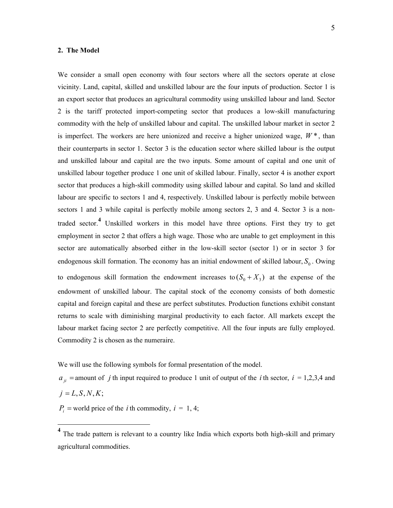#### **2. The Model**

5

We consider a small open economy with four sectors where all the sectors operate at close vicinity. Land, capital, skilled and unskilled labour are the four inputs of production. Sector 1 is an export sector that produces an agricultural commodity using unskilled labour and land. Sector 2 is the tariff protected import-competing sector that produces a low-skill manufacturing commodity with the help of unskilled labour and capital. The unskilled labour market in sector 2 is imperfect. The workers are here unionized and receive a higher unionized wage,  $W^*$ , than their counterparts in sector 1. Sector 3 is the education sector where skilled labour is the output and unskilled labour and capital are the two inputs. Some amount of capital and one unit of unskilled labour together produce 1 one unit of skilled labour. Finally, sector 4 is another export sector that produces a high-skill commodity using skilled labour and capital. So land and skilled labour are specific to sectors 1 and 4, respectively. Unskilled labour is perfectly mobile between sectors 1 and 3 while capital is perfectly mobile among sectors 2, 3 and 4. Sector 3 is a nontraded sector.**<sup>4</sup>** Unskilled workers in this model have three options. First they try to get employment in sector 2 that offers a high wage. Those who are unable to get employment in this sector are automatically absorbed either in the low-skill sector (sector 1) or in sector 3 for endogenous skill formation. The economy has an initial endowment of skilled labour,  $S_0$ . Owing to endogenous skill formation the endowment increases to  $(S_0 + X_3)$  at the expense of the endowment of unskilled labour. The capital stock of the economy consists of both domestic capital and foreign capital and these are perfect substitutes. Production functions exhibit constant returns to scale with diminishing marginal productivity to each factor. All markets except the labour market facing sector 2 are perfectly competitive. All the four inputs are fully employed. Commodity 2 is chosen as the numeraire.

We will use the following symbols for formal presentation of the model.

 $a_{ii}$  = amount of *j* th input required to produce 1 unit of output of the *i* th sector,  $i = 1,2,3,4$  and  $j = L, S, N, K;$ 

 $P_i$  = world price of the *i* th commodity,  $i = 1, 4$ ;

<sup>&</sup>lt;sup>4</sup> The trade pattern is relevant to a country like India which exports both high-skill and primary agricultural commodities.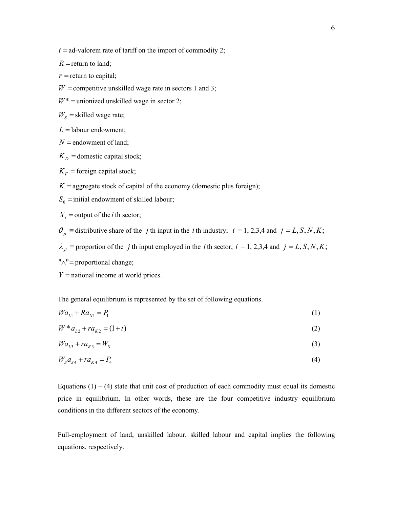$R$  = return to land;

 $r$  = return to capital;

 $W =$  competitive unskilled wage rate in sectors 1 and 3;

 $W^*$  = unionized unskilled wage in sector 2;

 $W<sub>S</sub>$  = skilled wage rate;

 $L =$ labour endowment;

- $N =$  endowment of land;
- $K<sub>D</sub>$  = domestic capital stock;
- $K_F$  = foreign capital stock;
- $K =$ aggregate stock of capital of the economy (domestic plus foreign);
- $S_0$  = initial endowment of skilled labour;

 $X_i$  = output of the *i* th sector;

 $\theta_{ii}$  = distributive share of the *j* th input in the *i* th industry; *i* = 1, 2,3,4 and *j* = *L*, *S*, *N*, *K*;

 $\lambda_{ji}$  ≡ proportion of the *j* th input employed in the *i* th sector, *i* = 1, 2,3,4 and *j* = *L*, *S*, *N*, *K*;

- "∧"= proportional change;
- *Y* = national income at world prices.

The general equilibrium is represented by the set of following equations.

$$
Wa_{L1} + Ra_{N1} = P_1 \tag{1}
$$

$$
W * a_{L2} + ra_{K2} = (1+t)
$$
 (2)

$$
Wa_{L3} + ra_{K3} = W_S \tag{3}
$$

$$
W_{S}a_{S4} + ra_{K4} = P_{4}
$$
\n(4)

Equations  $(1) - (4)$  state that unit cost of production of each commodity must equal its domestic price in equilibrium. In other words, these are the four competitive industry equilibrium conditions in the different sectors of the economy.

Full-employment of land, unskilled labour, skilled labour and capital implies the following equations, respectively.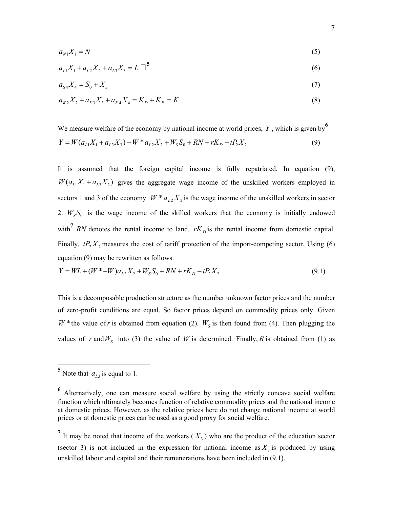$$
a_{N1}X_1 = N \tag{5}
$$

$$
a_{L1}X_1 + a_{L2}X_2 + a_{L3}X_3 = L \square^5
$$
\n<sup>(6)</sup>

$$
a_{S4}X_4 = S_0 + X_3 \tag{7}
$$

$$
a_{K2}X_2 + a_{K3}X_3 + a_{K4}X_4 = K_D + K_F = K
$$
\n(8)

We measure welfare of the economy by national income at world prices, *Y* , which is given by**<sup>6</sup>**  $Y = W(a_{11}X_1 + a_{13}X_3) + W^*a_{12}X_2 + W_sS_0 + RN + rK_p - tP_sX_2$  (9)

It is assumed that the foreign capital income is fully repatriated. In equation (9),  $W(a_{L1}X_1 + a_{L3}X_3)$  gives the aggregate wage income of the unskilled workers employed in sectors 1 and 3 of the economy.  $W^* a_{L2} X_2$  is the wage income of the unskilled workers in sector 2.  $W<sub>S</sub>S<sub>0</sub>$  is the wage income of the skilled workers that the economy is initially endowed with<sup>7</sup>. *RN* denotes the rental income to land.  $rK<sub>D</sub>$  is the rental income from domestic capital. Finally,  $tP_2X_2$  measures the cost of tariff protection of the import-competing sector. Using (6) equation (9) may be rewritten as follows.

$$
Y = WL + (W^* - W)a_{L2}X_2 + W_sS_0 + RN + rK_D - tP_2X_2
$$
\n
$$
(9.1)
$$

This is a decomposable production structure as the number unknown factor prices and the number of zero-profit conditions are equal. So factor prices depend on commodity prices only. Given *W* \* the value of *r* is obtained from equation (2).  $W<sub>S</sub>$  is then found from (4). Then plugging the values of *r* and  $W_s$  into (3) the value of *W* is determined. Finally, *R* is obtained from (1) as

 $5$  Note that  $a_{L3}$  is equal to 1.

**<sup>6</sup>** Alternatively, one can measure social welfare by using the strictly concave social welfare function which ultimately becomes function of relative commodity prices and the national income at domestic prices. However, as the relative prices here do not change national income at world prices or at domestic prices can be used as a good proxy for social welfare.

<sup>&</sup>lt;sup>7</sup> It may be noted that income of the workers  $(X_3)$  who are the product of the education sector (sector 3) is not included in the expression for national income as  $X_3$  is produced by using unskilled labour and capital and their remunerations have been included in (9.1).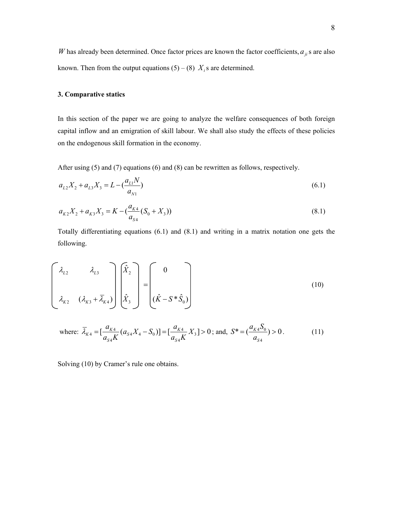*W* has already been determined. Once factor prices are known the factor coefficients,  $a_{ji}$  s are also known. Then from the output equations  $(5) - (8)$   $X_i$  s are determined.

# **3. Comparative statics**

In this section of the paper we are going to analyze the welfare consequences of both foreign capital inflow and an emigration of skill labour. We shall also study the effects of these policies on the endogenous skill formation in the economy.

After using (5) and (7) equations (6) and (8) can be rewritten as follows, respectively.

$$
a_{L2}X_2 + a_{L3}X_3 = L - \left(\frac{a_{L1}N}{a_{N1}}\right) \tag{6.1}
$$

$$
a_{K2}X_2 + a_{K3}X_3 = K - \left(\frac{a_{K4}}{a_{S4}}(S_0 + X_3)\right)
$$
\n(8.1)

Totally differentiating equations (6.1) and (8.1) and writing in a matrix notation one gets the following.

$$
\begin{bmatrix}\n\lambda_{L2} & \lambda_{L3} \\
\lambda_{K2} & (\lambda_{K3} + \overline{\lambda}_{K4})\n\end{bmatrix}\n\begin{bmatrix}\n\hat{X}_2 \\
\hat{X}_3\n\end{bmatrix} =\n\begin{bmatrix}\n0 \\
(\hat{K} - S * \hat{S}_0)\n\end{bmatrix}
$$
\n(10)

where: 
$$
\overline{\lambda}_{K4} = \left[\frac{a_{K4}}{a_{S4}K}(a_{S4}X_4 - S_0)\right] = \left[\frac{a_{K4}}{a_{S4}K}X_3\right] > 0
$$
; and,  $S^* = \left(\frac{a_{K4}S_0}{a_{S4}}\right) > 0$ . (11)

Solving (10) by Cramer's rule one obtains.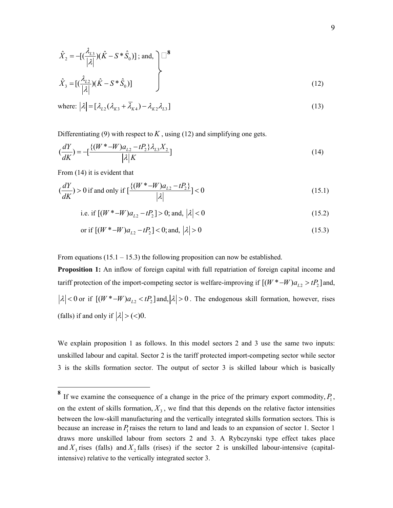$$
\hat{X}_2 = -\left[ \left( \frac{\lambda_{L3}}{|\lambda|} \right) (\hat{K} - S^* \hat{S}_0) \right]; \text{ and, } \sum_{\hat{X}_3 = \left[ \left( \frac{\lambda_{L2}}{|\lambda|} \right) (\hat{K} - S^* \hat{S}_0) \right]}
$$
\n(12)

where: 
$$
|\lambda| = [\lambda_{L2}(\lambda_{K3} + \overline{\lambda}_{K4}) - \lambda_{K2}\lambda_{L3}]
$$
 (13)

Differentiating (9) with respect to  $K$ , using (12) and simplifying one gets.

$$
\left(\frac{dY}{dK}\right) = -\left[\frac{\{(W^* - W)a_{L2} - tP_2\}\lambda_{L3}X_2}{|\lambda|K}\right]
$$
\n(14)

From (14) it is evident that

 $\overline{a}$ 

$$
\left(\frac{dY}{dK}\right) > 0 \text{ if and only if } \left[\frac{\{(W^* - W)a_{L2} - tP_2\}}{|\lambda|}\right] < 0 \tag{15.1}
$$

i.e. if 
$$
[(W^* - W)a_{L2} - tP_2] > 0
$$
; and,  $|\lambda| < 0$  (15.2)

or if 
$$
[(W^* - W)a_{L2} - tP_2] < 0
$$
; and,  $|\lambda| > 0$  (15.3)

From equations (15.1 – 15.3) the following proposition can now be established.

**Proposition 1:** An inflow of foreign capital with full repatriation of foreign capital income and tariff protection of the import-competing sector is welfare-improving if  $[(W^* - W)a_{L2} > tP_2]$  and,  $|\lambda|$  < 0 or if  $[(W^* - W)a_{12}$  <  $tP_2$  and,  $|\lambda| > 0$ . The endogenous skill formation, however, rises (falls) if and only if  $|\lambda|$  > (<)0.

We explain proposition 1 as follows. In this model sectors 2 and 3 use the same two inputs: unskilled labour and capital. Sector 2 is the tariff protected import-competing sector while sector 3 is the skills formation sector. The output of sector 3 is skilled labour which is basically

<sup>&</sup>lt;sup>8</sup> If we examine the consequence of a change in the price of the primary export commodity,  $P_1$ , on the extent of skills formation,  $X_3$ , we find that this depends on the relative factor intensities between the low-skill manufacturing and the vertically integrated skills formation sectors. This is because an increase in  $P_1$  raises the return to land and leads to an expansion of sector 1. Sector 1 draws more unskilled labour from sectors 2 and 3. A Rybczynski type effect takes place and  $X_3$  rises (falls) and  $X_2$  falls (rises) if the sector 2 is unskilled labour-intensive (capitalintensive) relative to the vertically integrated sector 3.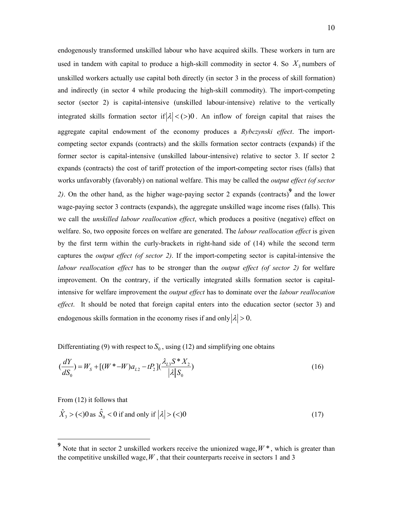endogenously transformed unskilled labour who have acquired skills. These workers in turn are used in tandem with capital to produce a high-skill commodity in sector 4. So  $X_3$  numbers of unskilled workers actually use capital both directly (in sector 3 in the process of skill formation) and indirectly (in sector 4 while producing the high-skill commodity). The import-competing sector (sector 2) is capital-intensive (unskilled labour-intensive) relative to the vertically integrated skills formation sector if  $|\lambda| < (> 0$ . An inflow of foreign capital that raises the aggregate capital endowment of the economy produces a *Rybczynski effect*. The importcompeting sector expands (contracts) and the skills formation sector contracts (expands) if the former sector is capital-intensive (unskilled labour-intensive) relative to sector 3. If sector 2 expands (contracts) the cost of tariff protection of the import-competing sector rises (falls) that works unfavorably (favorably) on national welfare. This may be called the *output effect (of sector 2)*. On the other hand, as the higher wage-paying sector 2 expands (contracts)**<sup>9</sup>** and the lower wage-paying sector 3 contracts (expands), the aggregate unskilled wage income rises (falls). This we call the *unskilled labour reallocation effect*, which produces a positive (negative) effect on welfare. So, two opposite forces on welfare are generated. The *labour reallocation effect* is given by the first term within the curly-brackets in right-hand side of (14) while the second term captures the *output effect (of sector 2)*. If the import-competing sector is capital-intensive the *labour reallocation effect* has to be stronger than the *output effect (of sector 2)* for welfare improvement. On the contrary, if the vertically integrated skills formation sector is capitalintensive for welfare improvement the *output effect* has to dominate over the *labour reallocation effect*. It should be noted that foreign capital enters into the education sector (sector 3) and endogenous skills formation in the economy rises if and only  $|\lambda| > 0$ .

Differentiating (9) with respect to  $S_0$ , using (12) and simplifying one obtains

$$
\left(\frac{dY}{dS_0}\right) = W_S + \left[ (W^* - W)a_{L2} - tP_2 \right] \left(\frac{\lambda_{L3}S^*X_2}{|\lambda|S_0}\right) \tag{16}
$$

From (12) it follows that

$$
\hat{X}_3 > (<0
$$
 as  $\hat{S}_0 < 0$  if and only if  $|\lambda| > (<0$  (17)

<sup>&</sup>lt;sup>9</sup> Note that in sector 2 unskilled workers receive the unionized wage,  $W^*$ , which is greater than the competitive unskilled wage,  $W$ , that their counterparts receive in sectors 1 and 3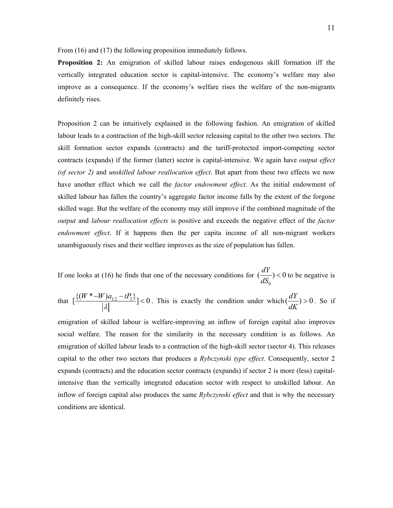From (16) and (17) the following proposition immediately follows.

**Proposition 2:** An emigration of skilled labour raises endogenous skill formation iff the vertically integrated education sector is capital-intensive. The economy's welfare may also improve as a consequence. If the economy's welfare rises the welfare of the non-migrants definitely rises.

Proposition 2 can be intuitively explained in the following fashion. An emigration of skilled labour leads to a contraction of the high-skill sector releasing capital to the other two sectors. The skill formation sector expands (contracts) and the tariff-protected import-competing sector contracts (expands) if the former (latter) sector is capital-intensive. We again have *output effect (of sector 2)* and *unskilled labour reallocation effect*. But apart from these two effects we now have another effect which we call the *factor endowment effect*. As the initial endowment of skilled labour has fallen the country's aggregate factor income falls by the extent of the forgone skilled wage. But the welfare of the economy may still improve if the combined magnitude of the *output* and *labour reallocation effects* is positive and exceeds the negative effect of the *factor endowment effect*. If it happens then the per capita income of all non-migrant workers unambiguously rises and their welfare improves as the size of population has fallen.

If one looks at (16) he finds that one of the necessary conditions for 0  $\left(\frac{dY}{dS}\right) < 0$ *dS*  $< 0$  to be negative is

that 
$$
\left[\frac{\{(W^*-W)a_{L2}-tP_2\}}{|\lambda|}\right] < 0
$$
. This is exactly the condition under which  $\left(\frac{dY}{dK}\right) > 0$ . So if

emigration of skilled labour is welfare-improving an inflow of foreign capital also improves social welfare. The reason for the similarity in the necessary condition is as follows. An emigration of skilled labour leads to a contraction of the high-skill sector (sector 4). This releases capital to the other two sectors that produces a *Rybczynski type effect*. Consequently, sector 2 expands (contracts) and the education sector contracts (expands) if sector 2 is more (less) capitalintensive than the vertically integrated education sector with respect to unskilled labour. An inflow of foreign capital also produces the same *Rybczynski effect* and that is why the necessary conditions are identical.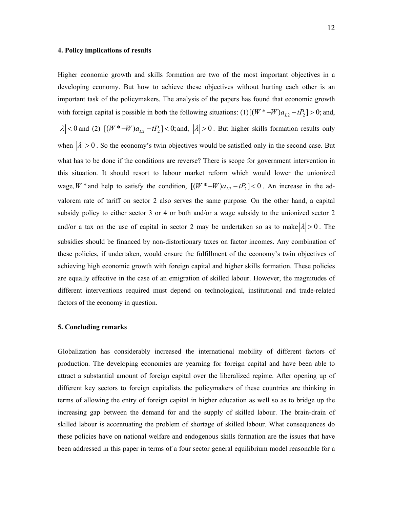# **4. Policy implications of results**

Higher economic growth and skills formation are two of the most important objectives in a developing economy. But how to achieve these objectives without hurting each other is an important task of the policymakers. The analysis of the papers has found that economic growth with foreign capital is possible in both the following situations:  $(1) [(W^* - W)a_{L2} - tP_2] > 0$ ; and,  $\lambda$  < 0 and (2)  $[(W^* - W)a_{L2} - tP_2]$  < 0; and,  $|\lambda| > 0$ . But higher skills formation results only when  $|\lambda| > 0$ . So the economy's twin objectives would be satisfied only in the second case. But what has to be done if the conditions are reverse? There is scope for government intervention in this situation. It should resort to labour market reform which would lower the unionized wage,  $W^*$  and help to satisfy the condition,  $[(W^* - W)a_{L2} - tP_2] < 0$ . An increase in the advalorem rate of tariff on sector 2 also serves the same purpose. On the other hand, a capital subsidy policy to either sector 3 or 4 or both and/or a wage subsidy to the unionized sector 2 and/or a tax on the use of capital in sector 2 may be undertaken so as to make  $|\lambda| > 0$ . The subsidies should be financed by non-distortionary taxes on factor incomes. Any combination of these policies, if undertaken, would ensure the fulfillment of the economy's twin objectives of achieving high economic growth with foreign capital and higher skills formation. These policies are equally effective in the case of an emigration of skilled labour. However, the magnitudes of different interventions required must depend on technological, institutional and trade-related factors of the economy in question.

# **5. Concluding remarks**

Globalization has considerably increased the international mobility of different factors of production. The developing economies are yearning for foreign capital and have been able to attract a substantial amount of foreign capital over the liberalized regime. After opening up of different key sectors to foreign capitalists the policymakers of these countries are thinking in terms of allowing the entry of foreign capital in higher education as well so as to bridge up the increasing gap between the demand for and the supply of skilled labour. The brain-drain of skilled labour is accentuating the problem of shortage of skilled labour. What consequences do these policies have on national welfare and endogenous skills formation are the issues that have been addressed in this paper in terms of a four sector general equilibrium model reasonable for a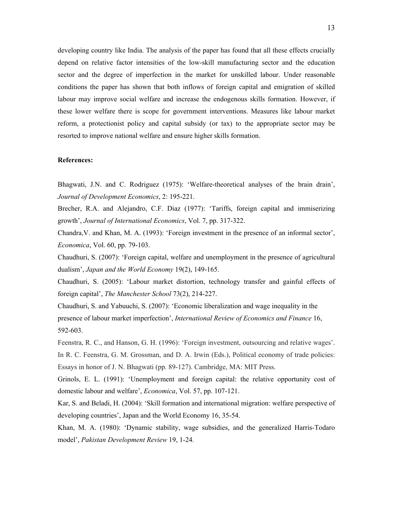developing country like India. The analysis of the paper has found that all these effects crucially depend on relative factor intensities of the low-skill manufacturing sector and the education sector and the degree of imperfection in the market for unskilled labour. Under reasonable conditions the paper has shown that both inflows of foreign capital and emigration of skilled labour may improve social welfare and increase the endogenous skills formation. However, if these lower welfare there is scope for government interventions. Measures like labour market reform, a protectionist policy and capital subsidy (or tax) to the appropriate sector may be resorted to improve national welfare and ensure higher skills formation.

# **References:**

Bhagwati, J.N. and C. Rodriguez (1975): 'Welfare-theoretical analyses of the brain drain', *Journal of Development Economics*, 2: 195-221.

Brecher, R.A. and Alejandro, C.F. Diaz (1977): 'Tariffs, foreign capital and immiserizing growth', *Journal of International Economics*, Vol. 7, pp. 317-322.

Chandra,V. and Khan, M. A. (1993): 'Foreign investment in the presence of an informal sector', *Economica*, Vol. 60, pp. 79-103.

Chaudhuri, S. (2007): 'Foreign capital, welfare and unemployment in the presence of agricultural dualism', *Japan and the World Economy* 19(2), 149-165.

Chaudhuri, S. (2005): 'Labour market distortion, technology transfer and gainful effects of foreign capital', *The Manchester School* 73(2), 214-227.

Chaudhuri, S. and Yabuuchi, S. (2007): 'Economic liberalization and wage inequality in the presence of labour market imperfection', *International Review of Economics and Finance* 16, 592-603.

Feenstra, R. C., and Hanson, G. H. (1996): 'Foreign investment, outsourcing and relative wages'. In R. C. Feenstra, G. M. Grossman, and D. A. Irwin (Eds.), Political economy of trade policies: Essays in honor of J. N. Bhagwati (pp. 89-127). Cambridge, MA: MIT Press.

Grinols, E. L. (1991): 'Unemployment and foreign capital: the relative opportunity cost of domestic labour and welfare', *Economica*, Vol. 57, pp. 107-121.

Kar, S. and Beladi, H. (2004): 'Skill formation and international migration: welfare perspective of developing countries', Japan and the World Economy 16, 35-54.

Khan, M. A. (1980): 'Dynamic stability, wage subsidies, and the generalized Harris-Todaro model', *Pakistan Development Review* 19, 1-24.